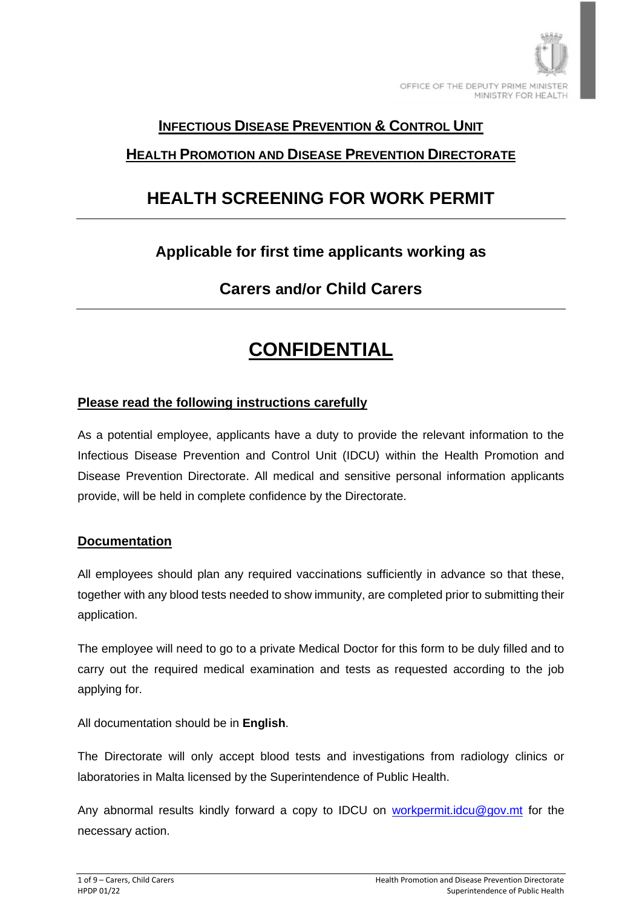

### **INFECTIOUS DISEASE PREVENTION & CONTROL UNIT**

### **HEALTH PROMOTION AND DISEASE PREVENTION DIRECTORATE**

## **HEALTH SCREENING FOR WORK PERMIT**

### **Applicable for first time applicants working as**

### **Carers and/or Child Carers**

## **CONFIDENTIAL**

#### **Please read the following instructions carefully**

As a potential employee, applicants have a duty to provide the relevant information to the Infectious Disease Prevention and Control Unit (IDCU) within the Health Promotion and Disease Prevention Directorate. All medical and sensitive personal information applicants provide, will be held in complete confidence by the Directorate.

#### **Documentation**

All employees should plan any required vaccinations sufficiently in advance so that these, together with any blood tests needed to show immunity, are completed prior to submitting their application.

The employee will need to go to a private Medical Doctor for this form to be duly filled and to carry out the required medical examination and tests as requested according to the job applying for.

All documentation should be in **English**.

The Directorate will only accept blood tests and investigations from radiology clinics or laboratories in Malta licensed by the Superintendence of Public Health.

Any abnormal results kindly forward a copy to IDCU on [workpermit.idcu@gov.mt](mailto:workpermit.idcu@gov.mt) for the necessary action.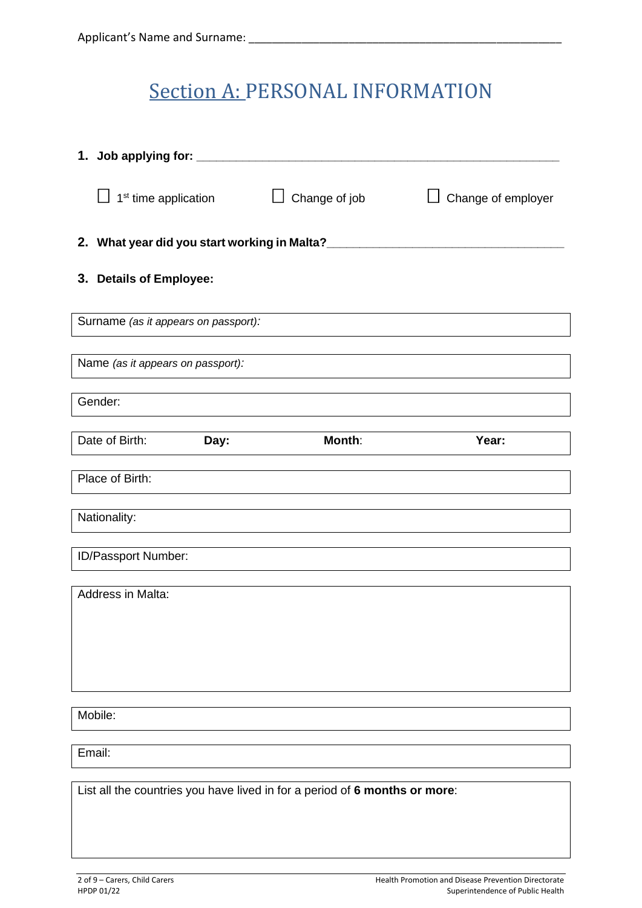## **Section A: PERSONAL INFORMATION**

| 1. Job applying for: ______                                                |      |                                              |                    |
|----------------------------------------------------------------------------|------|----------------------------------------------|--------------------|
| $\Box$ 1 <sup>st</sup> time application                                    |      | Change of job<br>ப                           | Change of employer |
|                                                                            |      | 2. What year did you start working in Malta? |                    |
| 3. Details of Employee:                                                    |      |                                              |                    |
| Surname (as it appears on passport):                                       |      |                                              |                    |
| Name (as it appears on passport):                                          |      |                                              |                    |
| Gender:                                                                    |      |                                              |                    |
| Date of Birth:                                                             | Day: | Month:                                       | Year:              |
| Place of Birth:                                                            |      |                                              |                    |
| Nationality:                                                               |      |                                              |                    |
| ID/Passport Number:                                                        |      |                                              |                    |
| Address in Malta:                                                          |      |                                              |                    |
|                                                                            |      |                                              |                    |
|                                                                            |      |                                              |                    |
|                                                                            |      |                                              |                    |
| Mobile:                                                                    |      |                                              |                    |
| Email:                                                                     |      |                                              |                    |
| List all the countries you have lived in for a period of 6 months or more: |      |                                              |                    |
|                                                                            |      |                                              |                    |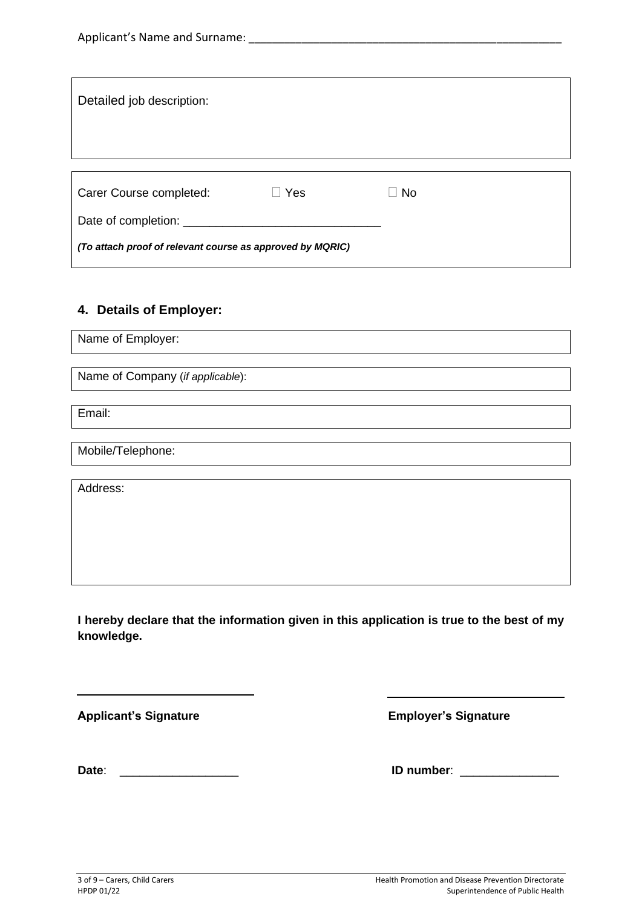| Detailed job description:                                 |            |      |  |
|-----------------------------------------------------------|------------|------|--|
|                                                           |            |      |  |
|                                                           |            |      |  |
|                                                           |            |      |  |
|                                                           |            |      |  |
| Carer Course completed:                                   | $\Box$ Yes | l No |  |
| Date of completion: ______                                |            |      |  |
| (To attach proof of relevant course as approved by MQRIC) |            |      |  |
|                                                           |            |      |  |

### **4. Details of Employer:**

Name of Employer:

Name of Company (*if applicable*):

Email:

Mobile/Telephone:

Address:

**I hereby declare that the information given in this application is true to the best of my knowledge.**

**Applicant's Signature Employer's Signature**

 $\overline{a}$ 

**Date**: \_\_\_\_\_\_\_\_\_\_\_\_\_\_\_\_\_\_ **ID number**: \_\_\_\_\_\_\_\_\_\_\_\_\_\_\_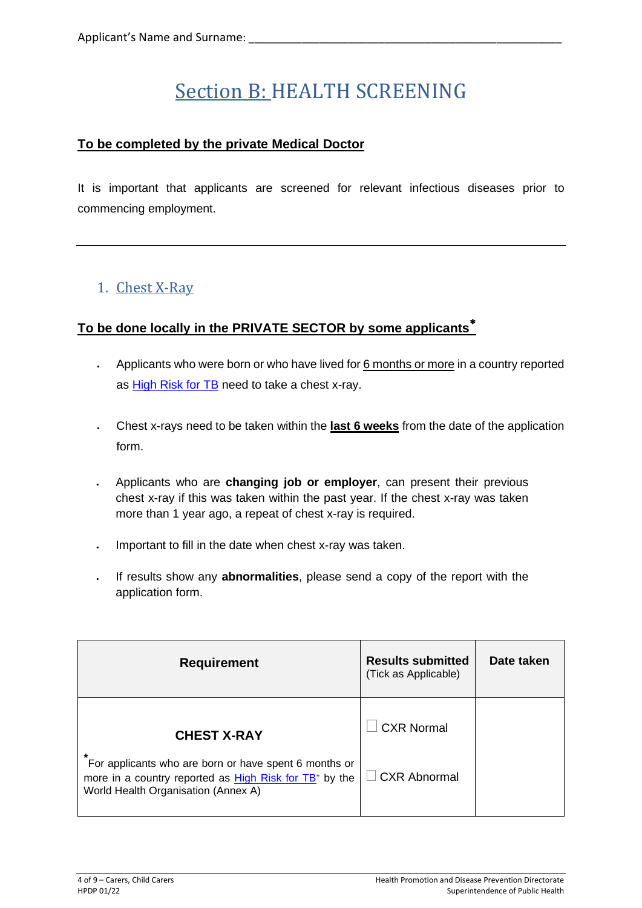# Section B: HEALTH SCREENING

### **To be completed by the private Medical Doctor**

It is important that applicants are screened for relevant infectious diseases prior to commencing employment.

### 1. Chest X-Ray

### **To be done locally in the PRIVATE SECTOR by some applicants**

- Applicants who were born or who have lived for 6 months or more in a country reported as [High Risk for TB](https://deputyprimeminister.gov.mt/en/health-promotion/idpcu/Documents/HIGH%20RISK%20TUBERCULOSIS%20COUNTRY%20LIST.pdf) need to take a chest x-ray.
- Chest x-rays need to be taken within the **last 6 weeks** from the date of the application form.
- Applicants who are **changing job or employer**, can present their previous chest x-ray if this was taken within the past year. If the chest x-ray was taken more than 1 year ago, a repeat of chest x-ray is required.
- Important to fill in the date when chest x-ray was taken.
- If results show any **abnormalities**, please send a copy of the report with the application form.

| <b>Requirement</b>                                                                                                                                                 | <b>Results submitted</b><br>(Tick as Applicable) | Date taken |
|--------------------------------------------------------------------------------------------------------------------------------------------------------------------|--------------------------------------------------|------------|
| <b>CHEST X-RAY</b>                                                                                                                                                 | <b>CXR Normal</b>                                |            |
| For applicants who are born or have spent 6 months or<br>more in a country reported as High Risk for TB <sup>*</sup> by the<br>World Health Organisation (Annex A) | $\Box$ CXR Abnormal                              |            |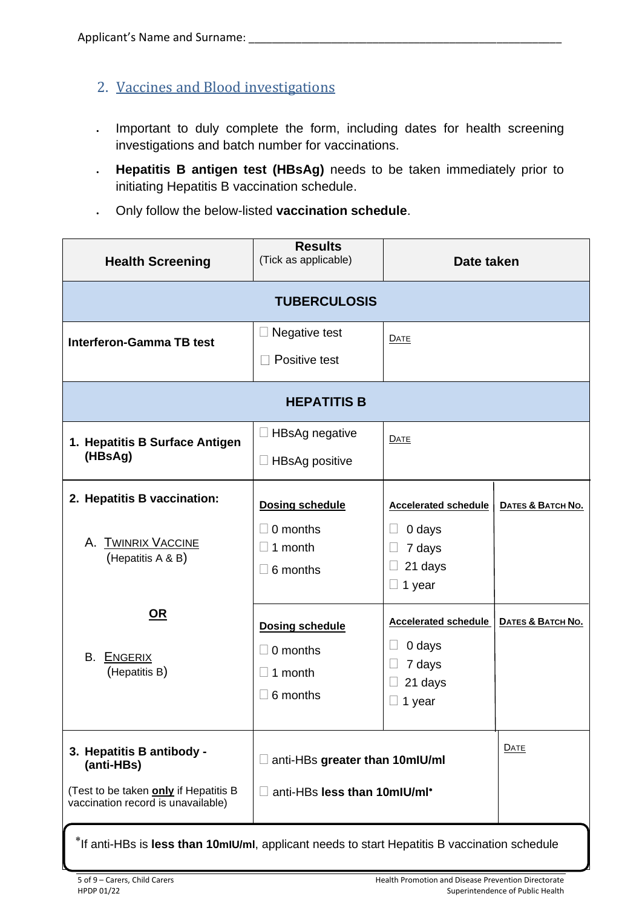- 2. Vaccines and Blood investigations
- Important to duly complete the form, including dates for health screening investigations and batch number for vaccinations.
- **Hepatitis B antigen test (HBsAg)** needs to be taken immediately prior to initiating Hepatitis B vaccination schedule.
- Only follow the below-listed **vaccination schedule**.

| <b>Health Screening</b>                                                                                                | <b>Results</b><br>(Tick as applicable)                                               | Date taken                                                                                 |                   |
|------------------------------------------------------------------------------------------------------------------------|--------------------------------------------------------------------------------------|--------------------------------------------------------------------------------------------|-------------------|
|                                                                                                                        | <b>TUBERCULOSIS</b>                                                                  |                                                                                            |                   |
| <b>Interferon-Gamma TB test</b>                                                                                        | Negative test<br>$\Box$<br>Positive test                                             | DATE                                                                                       |                   |
|                                                                                                                        | <b>HEPATITIS B</b>                                                                   |                                                                                            |                   |
| 1. Hepatitis B Surface Antigen<br>(HBsAg)                                                                              | <b>HBsAg negative</b><br>Ш<br>$\Box$ HBsAg positive                                  | <b>DATE</b>                                                                                |                   |
| 2. Hepatitis B vaccination:<br><b>TWINRIX VACCINE</b><br>А.<br>(Hepatitis A & B)                                       | <b>Dosing schedule</b><br>$\Box$ 0 months<br>1 month<br>$\Box$<br>6 months<br>$\Box$ | <b>Accelerated schedule</b><br>0 days<br>H<br>7 days<br>$\Box$<br>21 days<br>$\Box$ 1 year | DATES & BATCH NO. |
| <u>OR</u><br>В.<br><b>ENGERIX</b><br>(Hepatitis B)                                                                     | <b>Dosing schedule</b><br>$\Box$ 0 months<br>1 month<br>$\Box$<br>6 months<br>$\Box$ | <b>Accelerated schedule</b><br>0 days<br>7 days<br>21 days<br>1 year                       | DATES & BATCH NO. |
| 3. Hepatitis B antibody -<br>(anti-HBs)<br>(Test to be taken only if Hepatitis B<br>vaccination record is unavailable) | anti-HBs greater than 10mlU/ml<br>anti-HBs less than 10mlU/ml*<br>$\Box$             |                                                                                            | <b>DATE</b>       |

If anti-HBs is **less than 10mIU/ml**, applicant needs to start Hepatitis B vaccination schedule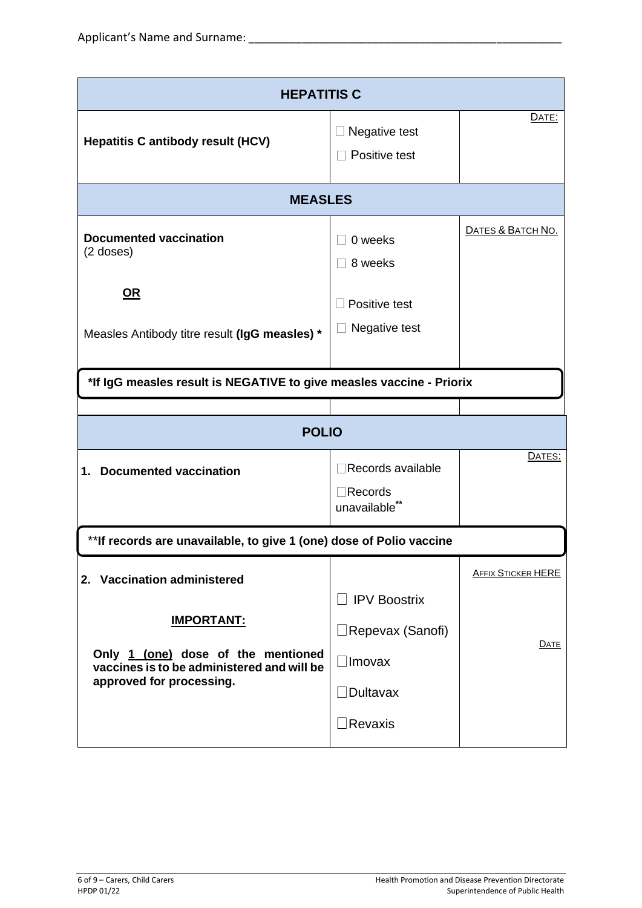| <b>HEPATITIS C</b>                                                                                                                                               |                                                                              |                                   |
|------------------------------------------------------------------------------------------------------------------------------------------------------------------|------------------------------------------------------------------------------|-----------------------------------|
| <b>Hepatitis C antibody result (HCV)</b>                                                                                                                         | Negative test<br>Positive test                                               | <b>DATE:</b>                      |
| <b>MEASLES</b>                                                                                                                                                   |                                                                              |                                   |
| <b>Documented vaccination</b><br>$(2$ doses)                                                                                                                     | 0 weeks<br>8 weeks                                                           | DATES & BATCH NO.                 |
| $OR$<br>Measles Antibody titre result (IgG measles) *                                                                                                            | Positive test<br>Negative test                                               |                                   |
| *If IgG measles result is NEGATIVE to give measles vaccine - Priorix                                                                                             |                                                                              |                                   |
|                                                                                                                                                                  |                                                                              |                                   |
| <b>POLIO</b>                                                                                                                                                     |                                                                              |                                   |
| <b>Documented vaccination</b><br>1.                                                                                                                              | Records available<br>$\exists$ Records<br>unavailable**                      | DATES:                            |
| ** If records are unavailable, to give 1 (one) dose of Polio vaccine                                                                                             |                                                                              |                                   |
| 2. Vaccination administered<br><b>IMPORTANT:</b><br>Only 1 (one) dose of the mentioned<br>vaccines is to be administered and will be<br>approved for processing. | $\Box$ IPV Boostrix<br>□Repevax (Sanofi)<br>$\Box$ Imovax<br>$\Box$ Dultavax | <b>AFFIX STICKER HERE</b><br>DATE |
|                                                                                                                                                                  | $\exists$ Revaxis                                                            |                                   |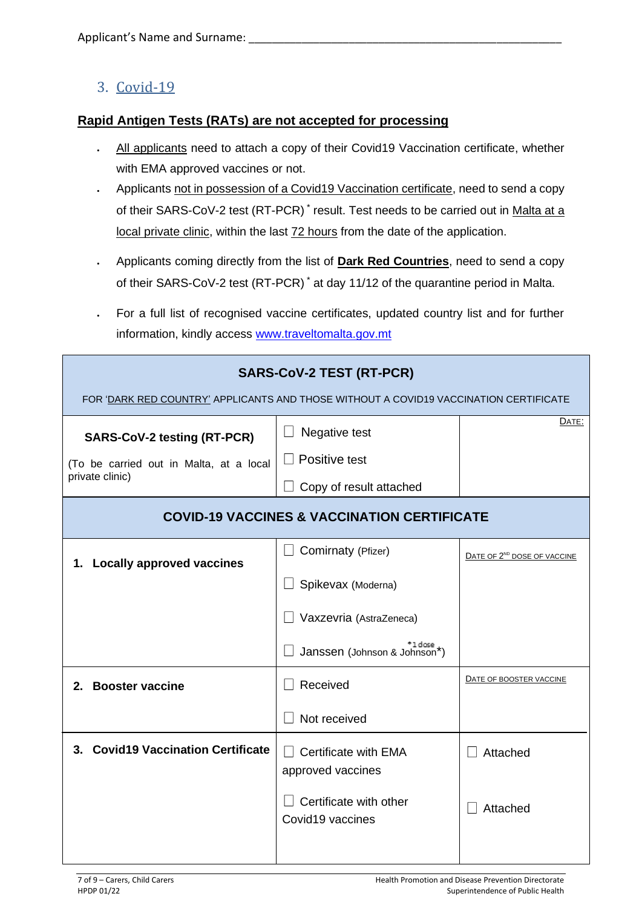### 3. Covid-19

#### **Rapid Antigen Tests (RATs) are not accepted for processing**

- All applicants need to attach a copy of their Covid19 Vaccination certificate, whether with EMA approved vaccines or not.
- Applicants not in possession of a Covid19 Vaccination certificate, need to send a copy of their SARS-CoV-2 test (RT-PCR)<sup>\*</sup> result. Test needs to be carried out in Malta at a local private clinic, within the last 72 hours from the date of the application.
- Applicants coming directly from the list of **Dark Red Countries**, need to send a copy of their SARS-CoV-2 test (RT-PCR) \* at day 11/12 of the quarantine period in Malta.
- For a full list of recognised vaccine certificates, updated country list and for further information, kindly access [www.traveltomalta.gov.mt](http://www.traveltomalta.gov.mt/)

| <b>SARS-CoV-2 TEST (RT-PCR)</b><br>FOR 'DARK RED COUNTRY' APPLICANTS AND THOSE WITHOUT A COVID19 VACCINATION CERTIFICATE |                                                                                   |                                         |
|--------------------------------------------------------------------------------------------------------------------------|-----------------------------------------------------------------------------------|-----------------------------------------|
| <b>SARS-CoV-2 testing (RT-PCR)</b><br>(To be carried out in Malta, at a local                                            | Negative test<br>Positive test                                                    | DATE:                                   |
| private clinic)                                                                                                          | Copy of result attached<br><b>COVID-19 VACCINES &amp; VACCINATION CERTIFICATE</b> |                                         |
| 1. Locally approved vaccines                                                                                             | Comirnaty (Pfizer)                                                                | DATE OF 2 <sup>ND</sup> DOSE OF VACCINE |
|                                                                                                                          | Spikevax (Moderna)                                                                |                                         |
|                                                                                                                          | Vaxzevria (AstraZeneca)                                                           |                                         |
|                                                                                                                          | <sup>+1 dose</sup><br>Janssen (Johnson & Johnson*)                                |                                         |
| 2. Booster vaccine                                                                                                       | Received                                                                          | DATE OF BOOSTER VACCINE                 |
|                                                                                                                          | Not received                                                                      |                                         |
| 3. Covid19 Vaccination Certificate                                                                                       | Certificate with EMA<br>approved vaccines                                         | Attached                                |
|                                                                                                                          | Certificate with other<br>Covid19 vaccines                                        | Attached                                |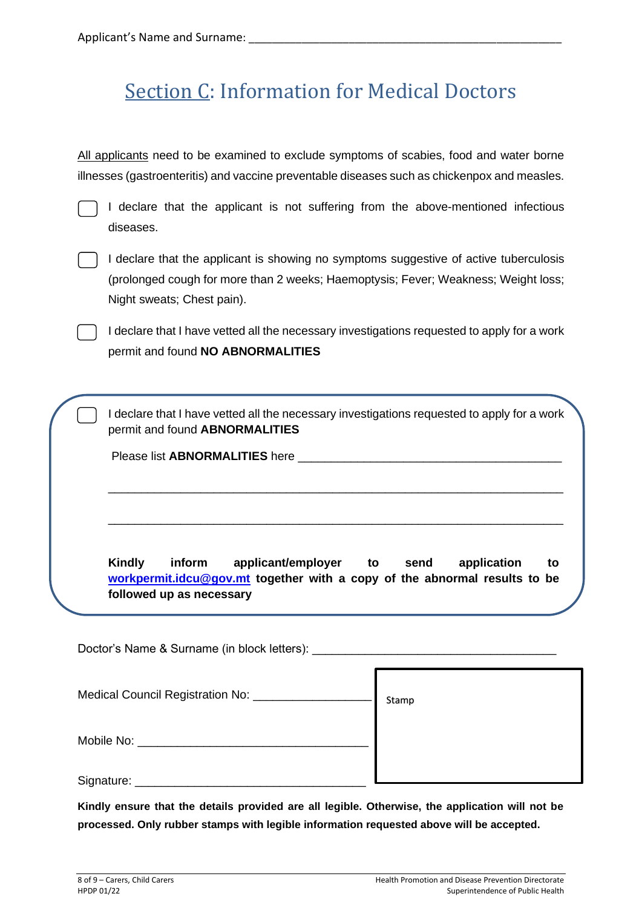## Section C: Information for Medical Doctors

All applicants need to be examined to exclude symptoms of scabies, food and water borne illnesses (gastroenteritis) and vaccine preventable diseases such as chickenpox and measles.

| v. |  |  |
|----|--|--|

I declare that the applicant is not suffering from the above-mentioned infectious diseases.



I declare that the applicant is showing no symptoms suggestive of active tuberculosis (prolonged cough for more than 2 weeks; Haemoptysis; Fever; Weakness; Weight loss; Night sweats; Chest pain).

I declare that I have vetted all the necessary investigations requested to apply for a work permit and found **NO ABNORMALITIES**

I declare that I have vetted all the necessary investigations requested to apply for a work permit and found **ABNORMALITIES**

\_\_\_\_\_\_\_\_\_\_\_\_\_\_\_\_\_\_\_\_\_\_\_\_\_\_\_\_\_\_\_\_\_\_\_\_\_\_\_\_\_\_\_\_\_\_\_\_\_\_\_\_\_\_\_\_\_\_\_\_\_\_\_\_\_\_\_\_\_

\_\_\_\_\_\_\_\_\_\_\_\_\_\_\_\_\_\_\_\_\_\_\_\_\_\_\_\_\_\_\_\_\_\_\_\_\_\_\_\_\_\_\_\_\_\_\_\_\_\_\_\_\_\_\_\_\_\_\_\_\_\_\_\_\_\_\_\_\_

Please list **ABNORMALITIES** here

**Kindly inform applicant/employer to send application to [workpermit.idcu@gov.mt](mailto:workpermit.idcu@gov.mt) together with a copy of the abnormal results to be followed up as necessary**

Doctor's Name & Surname (in block letters): Medical Council Registration No: Mobile No: **With a set of the Second Second** Second Second Second Second Second Second Second Second Second Second Second Second Second Second Second Second Second Second Second Second Second Second Second Second Second Se Signature: \_\_\_\_\_\_\_\_\_\_\_\_\_\_\_\_\_\_\_\_\_\_\_\_\_\_\_\_\_\_\_\_\_\_\_ Stamp

**Kindly ensure that the details provided are all legible. Otherwise, the application will not be processed. Only rubber stamps with legible information requested above will be accepted.**